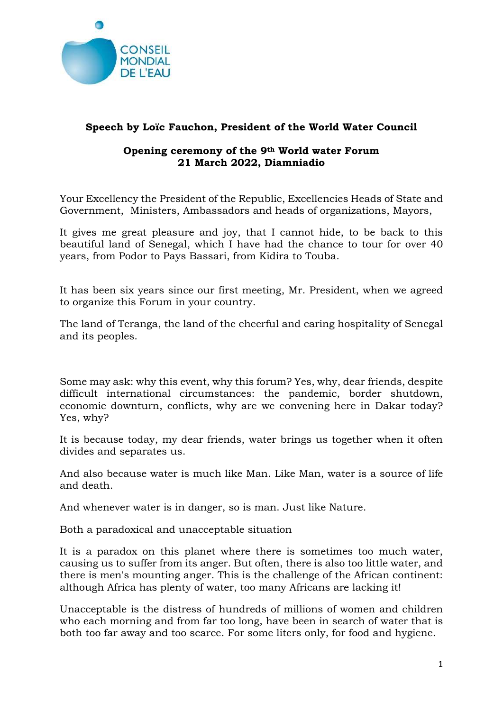

## Speech by Loïc Fauchon, President of the World Water Council

## Opening ceremony of the 9th World water Forum 21 March 2022, Diamniadio

Your Excellency the President of the Republic, Excellencies Heads of State and Government, Ministers, Ambassadors and heads of organizations, Mayors,

It gives me great pleasure and joy, that I cannot hide, to be back to this beautiful land of Senegal, which I have had the chance to tour for over 40 years, from Podor to Pays Bassari, from Kidira to Touba.

It has been six years since our first meeting, Mr. President, when we agreed to organize this Forum in your country.

The land of Teranga, the land of the cheerful and caring hospitality of Senegal and its peoples.

Some may ask: why this event, why this forum? Yes, why, dear friends, despite difficult international circumstances: the pandemic, border shutdown, economic downturn, conflicts, why are we convening here in Dakar today? Yes, why?

It is because today, my dear friends, water brings us together when it often divides and separates us.

And also because water is much like Man. Like Man, water is a source of life and death.

And whenever water is in danger, so is man. Just like Nature.

Both a paradoxical and unacceptable situation

It is a paradox on this planet where there is sometimes too much water, causing us to suffer from its anger. But often, there is also too little water, and there is men's mounting anger. This is the challenge of the African continent: although Africa has plenty of water, too many Africans are lacking it!

Unacceptable is the distress of hundreds of millions of women and children who each morning and from far too long, have been in search of water that is both too far away and too scarce. For some liters only, for food and hygiene.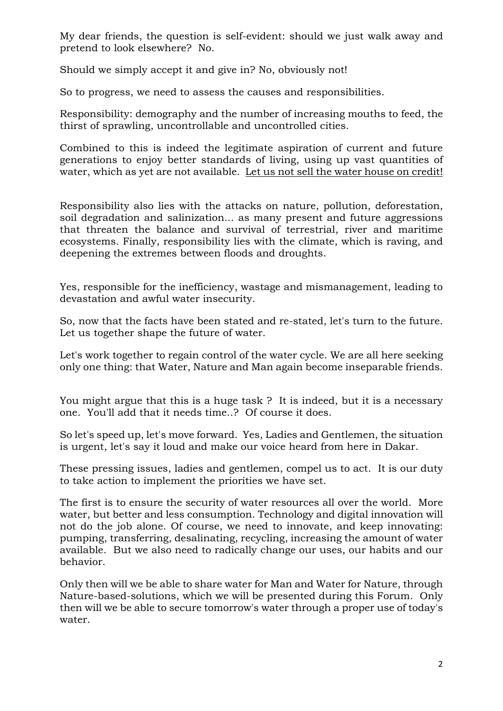My dear friends, the question is self-evident: should we just walk away and pretend to look elsewhere? No.

Should we simply accept it and give in? No, obviously not!

So to progress, we need to assess the causes and responsibilities.

Responsibility: demography and the number of increasing mouths to feed, the thirst of sprawling, uncontrollable and uncontrolled cities.

Combined to this is indeed the legitimate aspiration of current and future generations to enjoy better standards of living, using up vast quantities of water, which as yet are not available. Let us not sell the water house on credit!

Responsibility also lies with the attacks on nature, pollution, deforestation, soil degradation and salinization... as many present and future aggressions that threaten the balance and survival of terrestrial, river and maritime ecosystems. Finally, responsibility lies with the climate, which is raving, and deepening the extremes between floods and droughts.

Yes, responsible for the inefficiency, wastage and mismanagement, leading to devastation and awful water insecurity.

So, now that the facts have been stated and re-stated, let's turn to the future. Let us together shape the future of water.

Let's work together to regain control of the water cycle. We are all here seeking only one thing: that Water, Nature and Man again become inseparable friends.

You might argue that this is a huge task ? It is indeed, but it is a necessary one. You'll add that it needs time..? Of course it does.

So let's speed up, let's move forward. Yes, Ladies and Gentlemen, the situation is urgent, let's say it loud and make our voice heard from here in Dakar.

These pressing issues, ladies and gentlemen, compel us to act. It is our duty to take action to implement the priorities we have set.

The first is to ensure the security of water resources all over the world. More water, but better and less consumption. Technology and digital innovation will not do the job alone. Of course, we need to innovate, and keep innovating: pumping, transferring, desalinating, recycling, increasing the amount of water available. But we also need to radically change our uses, our habits and our behavior.

Only then will we be able to share water for Man and Water for Nature, through Nature-based-solutions, which we will be presented during this Forum. Only then will we be able to secure tomorrow's water through a proper use of today's water.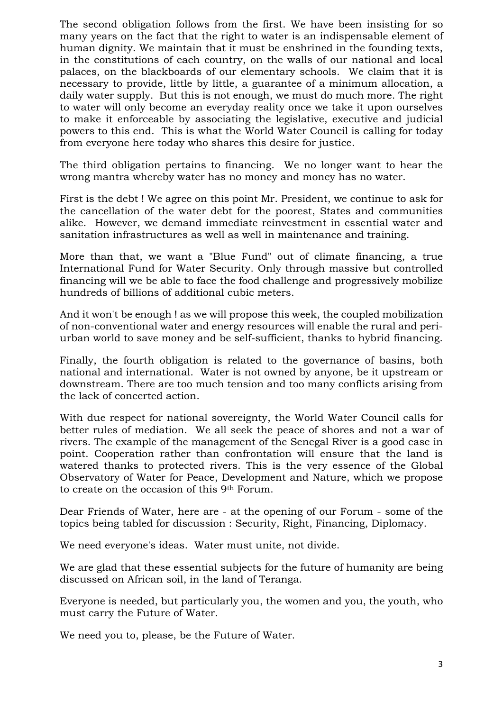The second obligation follows from the first. We have been insisting for so many years on the fact that the right to water is an indispensable element of human dignity. We maintain that it must be enshrined in the founding texts, in the constitutions of each country, on the walls of our national and local palaces, on the blackboards of our elementary schools. We claim that it is necessary to provide, little by little, a guarantee of a minimum allocation, a daily water supply. But this is not enough, we must do much more. The right to water will only become an everyday reality once we take it upon ourselves to make it enforceable by associating the legislative, executive and judicial powers to this end. This is what the World Water Council is calling for today from everyone here today who shares this desire for justice.

The third obligation pertains to financing. We no longer want to hear the wrong mantra whereby water has no money and money has no water.

First is the debt ! We agree on this point Mr. President, we continue to ask for the cancellation of the water debt for the poorest, States and communities alike. However, we demand immediate reinvestment in essential water and sanitation infrastructures as well as well in maintenance and training.

More than that, we want a "Blue Fund" out of climate financing, a true International Fund for Water Security. Only through massive but controlled financing will we be able to face the food challenge and progressively mobilize hundreds of billions of additional cubic meters.

And it won't be enough ! as we will propose this week, the coupled mobilization of non-conventional water and energy resources will enable the rural and periurban world to save money and be self-sufficient, thanks to hybrid financing.

Finally, the fourth obligation is related to the governance of basins, both national and international. Water is not owned by anyone, be it upstream or downstream. There are too much tension and too many conflicts arising from the lack of concerted action.

With due respect for national sovereignty, the World Water Council calls for better rules of mediation. We all seek the peace of shores and not a war of rivers. The example of the management of the Senegal River is a good case in point. Cooperation rather than confrontation will ensure that the land is watered thanks to protected rivers. This is the very essence of the Global Observatory of Water for Peace, Development and Nature, which we propose to create on the occasion of this 9th Forum.

Dear Friends of Water, here are - at the opening of our Forum - some of the topics being tabled for discussion : Security, Right, Financing, Diplomacy.

We need everyone's ideas. Water must unite, not divide.

We are glad that these essential subjects for the future of humanity are being discussed on African soil, in the land of Teranga.

Everyone is needed, but particularly you, the women and you, the youth, who must carry the Future of Water.

We need you to, please, be the Future of Water.